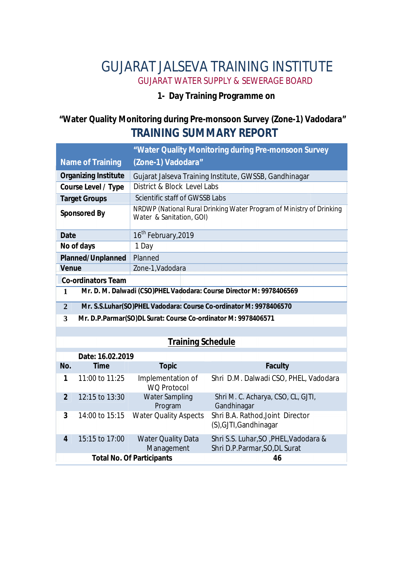# GUJARAT JALSEVA TRAINING INSTITUTE GUJARAT WATER SUPPLY & SEWERAGE BOARD

#### **1- Day Training Programme on**

## **"Water Quality Monitoring during Pre-monsoon Survey (Zone-1) Vadodara" TRAINING SUMMARY REPORT**

|                                                                                     |                                                                   | "Water Quality Monitoring during Pre-monsoon Survey                                              |                                                                        |
|-------------------------------------------------------------------------------------|-------------------------------------------------------------------|--------------------------------------------------------------------------------------------------|------------------------------------------------------------------------|
| <b>Name of Training</b>                                                             |                                                                   | (Zone-1) Vadodara"                                                                               |                                                                        |
| <b>Organizing Institute</b>                                                         |                                                                   | Gujarat Jalseva Training Institute, GWSSB, Gandhinagar                                           |                                                                        |
| <b>Course Level / Type</b>                                                          |                                                                   | District & Block Level Labs                                                                      |                                                                        |
| <b>Target Groups</b>                                                                |                                                                   | Scientific staff of GWSSB Labs                                                                   |                                                                        |
| <b>Sponsored By</b>                                                                 |                                                                   | NRDWP (National Rural Drinking Water Program of Ministry of Drinking<br>Water & Sanitation, GOI) |                                                                        |
| <b>Date</b>                                                                         |                                                                   | 16 <sup>th</sup> February, 2019                                                                  |                                                                        |
| No of days                                                                          |                                                                   | 1 Day                                                                                            |                                                                        |
| <b>Planned/Unplanned</b>                                                            |                                                                   | Planned                                                                                          |                                                                        |
| <b>Venue</b>                                                                        |                                                                   | Zone-1, Vadodara                                                                                 |                                                                        |
| <b>Co-ordinators Team</b>                                                           |                                                                   |                                                                                                  |                                                                        |
| Mr. D. M. Dalwadi (CSO)PHEL Vadodara: Course Director M: 9978406569<br>$\mathbf{1}$ |                                                                   |                                                                                                  |                                                                        |
| $\overline{2}$                                                                      | Mr. S.S.Luhar(SO)PHEL Vadodara: Course Co-ordinator M: 9978406570 |                                                                                                  |                                                                        |
| 3                                                                                   | Mr. D.P.Parmar(SO)DL Surat: Course Co-ordinator M: 9978406571     |                                                                                                  |                                                                        |
|                                                                                     |                                                                   |                                                                                                  |                                                                        |
| <b>Training Schedule</b>                                                            |                                                                   |                                                                                                  |                                                                        |
|                                                                                     | Date: 16.02.2019                                                  |                                                                                                  |                                                                        |
| No.                                                                                 | <b>Time</b>                                                       | <b>Topic</b>                                                                                     | <b>Faculty</b>                                                         |
| 1                                                                                   | 11:00 to 11:25                                                    | Implementation of<br><b>WO Protocol</b>                                                          | Shri D.M. Dalwadi CSO, PHEL, Vadodara                                  |
| $\overline{2}$                                                                      | 12:15 to 13:30                                                    | <b>Water Sampling</b><br>Program                                                                 | Shri M. C. Acharya, CSO, CL, GJTI,<br>Gandhinagar                      |
| $\overline{3}$                                                                      | 14:00 to 15:15                                                    | <b>Water Quality Aspects</b>                                                                     | Shri B.A. Rathod, Joint Director<br>(S), GJTI, Gandhinagar             |
| $\overline{4}$                                                                      | 15:15 to 17:00                                                    | <b>Water Quality Data</b><br>Management                                                          | Shri S.S. Luhar, SO, PHEL, Vadodara &<br>Shri D.P.Parmar, SO, DL Surat |
| <b>Total No. Of Participants</b>                                                    |                                                                   |                                                                                                  | 46                                                                     |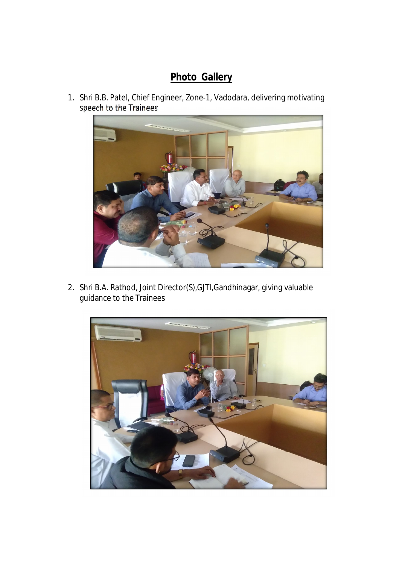## **Photo Gallery**

1. Shri B.B. Patel, Chief Engineer, Zone-1, Vadodara, delivering motivating speech to the Trainees



2. Shri B.A. Rathod, Joint Director(S),GJTI,Gandhinagar, giving valuable guidance to the Trainees

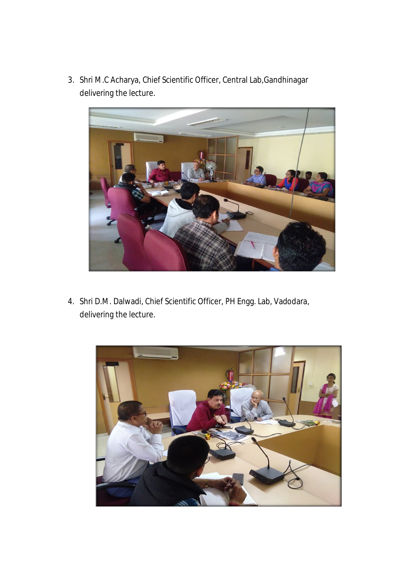3. Shri M.C Acharya, Chief Scientific Officer, Central Lab,Gandhinagar delivering the lecture.



4. Shri D.M. Dalwadi, Chief Scientific Officer, PH Engg. Lab, Vadodara, delivering the lecture.